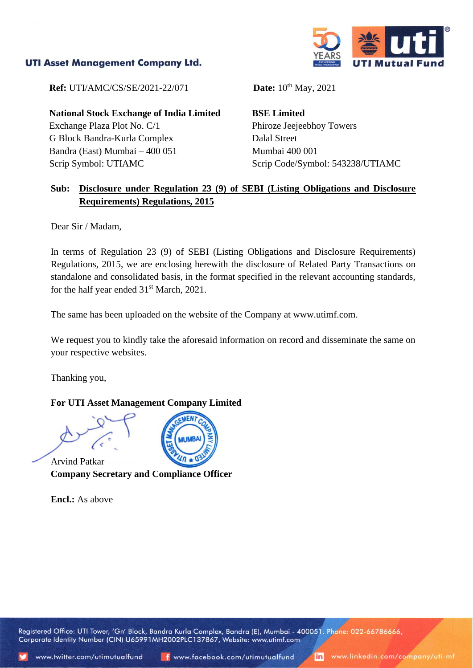## **UTI Asset Management Company Ltd.**



**Ref:** UTI/AMC/CS/SE/2021-22/071 **Date:** 10<sup>th</sup> May, 2021

**National Stock Exchange of India Limited** Exchange Plaza Plot No. C/1 G Block Bandra-Kurla Complex Bandra (East) Mumbai – 400 051 Scrip Symbol: UTIAMC

**BSE Limited** Phiroze Jeejeebhoy Towers Dalal Street Mumbai 400 001 Scrip Code/Symbol: 543238/UTIAMC

## **Sub: Disclosure under Regulation 23 (9) of SEBI (Listing Obligations and Disclosure Requirements) Regulations, 2015**

Dear Sir / Madam,

In terms of Regulation 23 (9) of SEBI (Listing Obligations and Disclosure Requirements) Regulations, 2015, we are enclosing herewith the disclosure of Related Party Transactions on standalone and consolidated basis, in the format specified in the relevant accounting standards, for the half year ended  $31<sup>st</sup>$  March, 2021.

The same has been uploaded on the website of the Company at www.utimf.com.

We request you to kindly take the aforesaid information on record and disseminate the same on your respective websites.

Thanking you,

## **For UTI Asset Management Company Limited**

Arvind Patkar **Company Secretary and Compliance Officer**

**Encl.:** As above

Registered Office: UTI Tower, 'Gn' Block, Bandra Kurla Complex, Bandra (E), Mumbai - 400051. Phone: 022-66786666, Corporate Identity Number (CIN) U65991MH2002PLC137867, Website: www.utimf.com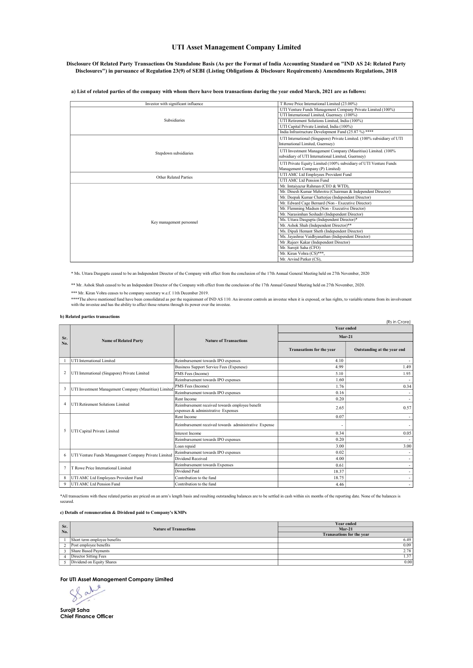### UTI Asset Management Company Limited

#### Disclosure Of Related Party Transactions On Standalone Basis (As per the Format of India Accounting Standard on "IND AS 24: Related Party Disclosures") in pursuance of Regulation 23(9) of SEBI (Listing Obligations & Disclosure Requirements) Amendments Regulations, 2018

#### a) List of related parties of the company with whom there have been transactions during the year ended March, 2021 are as follows:

| Investor with significant influence | T Rowe Price International Limited (23.00%)                            |  |
|-------------------------------------|------------------------------------------------------------------------|--|
|                                     | UTI Venture Funds Management Company Private Limited (100%)            |  |
|                                     | UTI International Limited, Guernsey, (100%)                            |  |
| <b>Subsidiaries</b>                 | UTI Retirement Solutions Limited, India (100%)                         |  |
|                                     | UTI Capital Private Limited, India (100%)                              |  |
|                                     | India Infrastructure Development Fund (25.87 %) ****                   |  |
|                                     | UTI International (Singapore) Private Limited. (100% subsidiary of UTI |  |
|                                     | International Limited, Guernsey)                                       |  |
|                                     | UTI Investment Management Company (Mauritius) Limited. (100%           |  |
| Stepdown subsidiaries               | subsidiary of UTI International Limited, Guernsey)                     |  |
|                                     | UTI Private Equity Limited (100% subsidiary of UTI Venture Funds       |  |
|                                     | Management Company (P) Limited)                                        |  |
| <b>Other Related Parties</b>        | UTI AMC Ltd Employees Provident Fund                                   |  |
|                                     | UTI AMC Ltd Pension Fund                                               |  |
|                                     | Mr. Imtaiyazur Rahman (CEO & WTD),                                     |  |
|                                     | Mr. Dinesh Kumar Mehrotra (Chairman & Independent Director)            |  |
|                                     | Mr. Deepak Kumar Chatterjee (Independent Director)                     |  |
|                                     | Mr. Edward Cage Bernard (Non - Executive Director)                     |  |
|                                     | Mr. Flemming Madsen (Non - Executive Director)                         |  |
|                                     | Mr. Narasimhan Seshadri (Independent Director)                         |  |
| Key management personnel            | Ms. Uttara Dasgupta (Independent Director)*                            |  |
|                                     | Mr. Ashok Shah (Independent Director)**                                |  |
|                                     | Ms. Dipali Hemant Sheth (Independent Director)                         |  |
|                                     | Ms. Jayashree Vaidhyanathan (Independent Director)                     |  |
|                                     | Mr .Rajeev Kakar (Independent Director)                                |  |
|                                     | Mr. Surojit Saha (CFO)                                                 |  |
|                                     | Mr. Kiran Vohra (CS)***,                                               |  |
|                                     | Mr. Arvind Patker (CS),                                                |  |

\* Ms. Uttara Dasgupta ceased to be an Independent Director of the Company with effect from the conclusion of the 17th Annual General Meeting held on 27th November, 2020

\*\* Mr. Ashok Shah ceased to be an Independent Director of the Company with effect from the conclusion of the 17th Annual General Meeting held on 27th November, 2020.

\*\*\* Mr. Kiran Vohra ceases to be company secretary w.e.f. 11th December 2019.

\*\*\*\*The above mentioned fund have been consolidated as per the requirement of IND AS 110. An investor controls an investee when it is exposed, or has rights, to variable returns from its involvement<br>with the investee and h

#### b) Related parties transactions

|                         |                                                       |                                                                                       |                                  | (Rs in Crore)               |
|-------------------------|-------------------------------------------------------|---------------------------------------------------------------------------------------|----------------------------------|-----------------------------|
|                         | <b>Name of Related Party</b>                          | <b>Nature of Transactions</b>                                                         | <b>Year ended</b>                |                             |
| Sr.<br>No.              |                                                       |                                                                                       | $Mar-21$                         |                             |
|                         |                                                       |                                                                                       | <b>Tranasations for the year</b> | Outstanding at the year end |
|                         | <b>UTI</b> International Limited                      | Reimbursement towards IPO expenses                                                    | 4.10                             |                             |
|                         |                                                       | <b>Business Support Service Fees (Expenese)</b>                                       | 4.99                             | 1.49                        |
| $\overline{\mathbf{c}}$ | UTI International (Singapore) Private Limited         | PMS Fees (Income)                                                                     | 5.10                             | 1.95                        |
|                         |                                                       | Reimbursement towards IPO expenses                                                    | 1.60                             |                             |
| $\mathbf{3}$            | UTI Investment Management Company (Mauritius) Limited | PMS Fees (Income)                                                                     | 1.76                             | 0.34                        |
|                         |                                                       | Reimbursement towards IPO expenses                                                    | 0.16                             | ٠                           |
|                         | <b>UTI Retirement Solutions Limited</b>               | Rent Income                                                                           | 0.20                             | $\overline{\phantom{a}}$    |
| $\overline{4}$          |                                                       | Reimbursement received towards employee benefit<br>expenses & administrative Expenses | 2.65                             | 0.57                        |
| 5                       | UTI Capital Private Limited                           | Rent Income                                                                           | 0.07                             |                             |
|                         |                                                       | Reimbursement received towards administrative Expense                                 |                                  |                             |
|                         |                                                       | <b>Interest Income</b>                                                                | 0.34                             | 0.05                        |
|                         |                                                       | Reimbursement towards IPO expenses                                                    | 0.20                             |                             |
|                         |                                                       | Loan repaid                                                                           | 3.00                             | 3.00                        |
| 6                       | UTI Venture Funds Management Company Private Limited  | Reimbursement towards IPO expenses                                                    | 0.02                             | $\overline{\phantom{a}}$    |
|                         |                                                       | Dividend Received                                                                     | 4.00                             | ٠                           |
| $\tau$                  | T Rowe Price International Limited                    | Reimbursement towards Expenses                                                        | 0.61                             | ۰                           |
|                         |                                                       | Dividend Paid                                                                         | 18.37                            | ٠                           |
| 8                       | UTI AMC Ltd Employees Provident Fund                  | Contribution to the fund                                                              | 18.75                            | ٠                           |
| 9                       | UTI AMC Ltd Pension Fund                              | Contribution to the fund                                                              | 4.46                             | ٠                           |

\*All transactions with these related parties are priced on an arm's length basis and resulting outstanding balances are to be settled in cash within six months of the reporting date. None of the balances is secured.

#### c) Details of remuneration & Dividend paid to Company's KMPs

| Sr.            | <b>Nature of Transactions</b> | <b>Year ended</b>                |  |
|----------------|-------------------------------|----------------------------------|--|
| No.            |                               | $Mar-21$                         |  |
|                |                               | <b>Tranasations for the year</b> |  |
|                | Short term employee benefits  | 6.49                             |  |
| $\overline{2}$ | Post employee benefits        | 0.09                             |  |
|                | Share Based Payments          | 2.78                             |  |
|                | Director Sitting Fees         | 1.37                             |  |
|                | Dividend on Equity Shares     | 0.00                             |  |

For UTI Asset Management Company Limited<br>
Subsequence of the Supplier of the Supplier of the Supplier of the Supplier of the Supplier of the Supplier of the Supplier of the Supplier of the Supplier of the Supplier of the S

Surojit Saha Chief Finance Officer